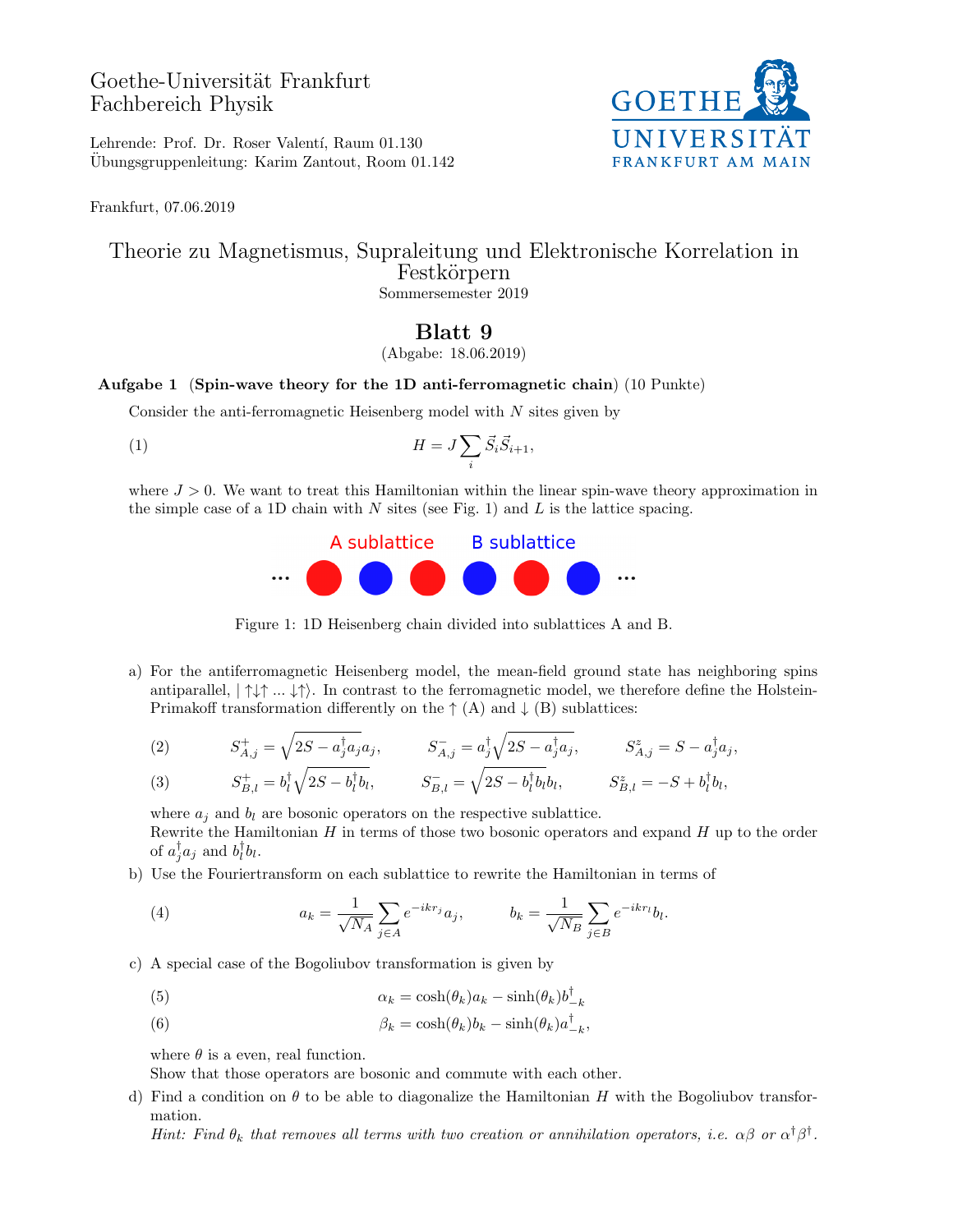# Goethe-Universität Frankfurt Fachbereich Physik



Lehrende: Prof. Dr. Roser Valentí, Raum 01.130 Ubungsgruppenleitung: Karim Zantout, Room 01.142 ¨

Frankfurt, 07.06.2019

### Theorie zu Magnetismus, Supraleitung und Elektronische Korrelation in Festkörpern Sommersemester 2019

## Blatt 9

#### (Abgabe: 18.06.2019)

#### Aufgabe 1 (Spin-wave theory for the 1D anti-ferromagnetic chain) (10 Punkte)

Consider the anti-ferromagnetic Heisenberg model with  $N$  sites given by

$$
(1) \t\t H = J \sum_{i} \vec{S}_{i} \vec{S}_{i+1},
$$

where  $J > 0$ . We want to treat this Hamiltonian within the linear spin-wave theory approximation in the simple case of a 1D chain with  $N$  sites (see Fig. 1) and  $L$  is the lattice spacing.



Figure 1: 1D Heisenberg chain divided into sublattices A and B.

a) For the antiferromagnetic Heisenberg model, the mean-field ground state has neighboring spins antiparallel,  $|\uparrow\downarrow\uparrow...\downarrow\uparrow\rangle$ . In contrast to the ferromagnetic model, we therefore define the Holstein-Primakoff transformation differently on the  $\uparrow$  (A) and  $\downarrow$  (B) sublattices:

(2) 
$$
S_{A,j}^{+} = \sqrt{2S - a_j^{\dagger} a_j} a_j
$$
,  $S_{A,j}^{-} = a_j^{\dagger} \sqrt{2S - a_j^{\dagger} a_j}$ ,  $S_{A,j}^{z} = S - a_j^{\dagger} a_j$ ,

(3) 
$$
S_{B,l}^{+} = b_l^{\dagger} \sqrt{2S - b_l^{\dagger} b_l}, \qquad S_{B,l}^{-} = \sqrt{2S - b_l^{\dagger} b_l} b_l, \qquad S_{B,l}^{z} = -S + b_l^{\dagger} b_l,
$$

where  $a_i$  and  $b_l$  are bosonic operators on the respective sublattice. Rewrite the Hamiltonian  $H$  in terms of those two bosonic operators and expand  $H$  up to the order of  $a_j^{\dagger} a_j$  and  $b_l^{\dagger} b_l$ .

b) Use the Fouriertransform on each sublattice to rewrite the Hamiltonian in terms of

(4) 
$$
a_k = \frac{1}{\sqrt{N_A}} \sum_{j \in A} e^{-ikr_j} a_j, \qquad b_k = \frac{1}{\sqrt{N_B}} \sum_{j \in B} e^{-ikr_l} b_l.
$$

c) A special case of the Bogoliubov transformation is given by

(5) 
$$
\alpha_k = \cosh(\theta_k)a_k - \sinh(\theta_k)b_{-k}^{\dagger}
$$

(6)  $\beta_k = \cosh(\theta_k) b_k - \sinh(\theta_k) a_{-k}^{\dagger},$ 

where  $\theta$  is a even, real function.

Show that those operators are bosonic and commute with each other.

d) Find a condition on  $\theta$  to be able to diagonalize the Hamiltonian H with the Bogoliubov transformation.

Hint: Find  $\theta_k$  that removes all terms with two creation or annihilation operators, i.e.  $\alpha\beta$  or  $\alpha^{\dagger}\beta^{\dagger}$ .